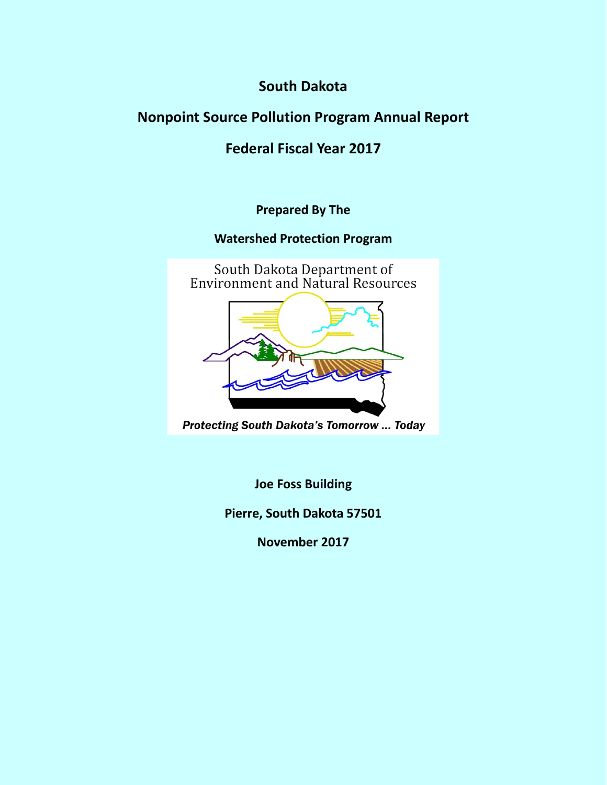**South Dakota**

# **Nonpoint Source Pollution Program Annual Report**

# **Federal Fiscal Year 2017**

**Prepared By The** 

**Watershed Protection Program**



**Protecting South Dakota's Tomorrow ... Today** 

**Joe Foss Building**

**Pierre, South Dakota 57501**

**November 2017**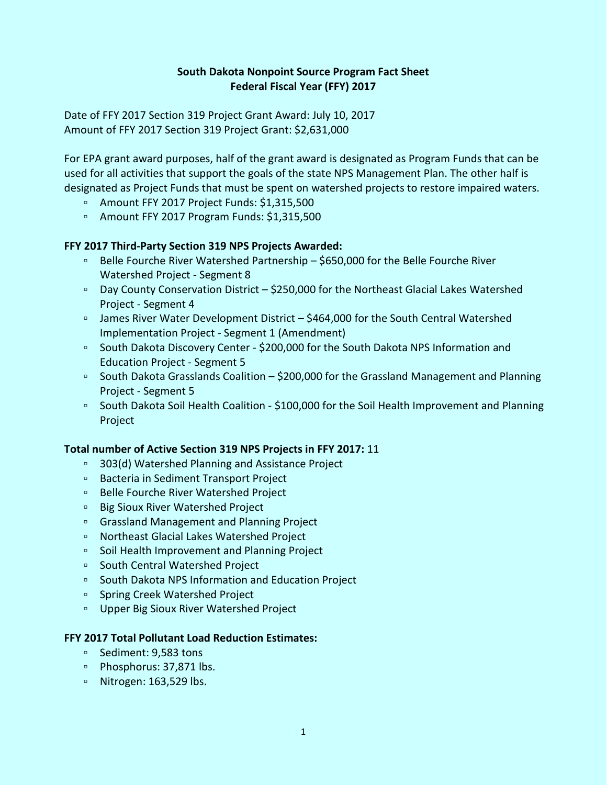## **South Dakota Nonpoint Source Program Fact Sheet Federal Fiscal Year (FFY) 2017**

Date of FFY 2017 Section 319 Project Grant Award: July 10, 2017 Amount of FFY 2017 Section 319 Project Grant: \$2,631,000

For EPA grant award purposes, half of the grant award is designated as Program Funds that can be used for all activities that support the goals of the state NPS Management Plan. The other half is designated as Project Funds that must be spent on watershed projects to restore impaired waters.

- Amount FFY 2017 Project Funds: \$1,315,500
- Amount FFY 2017 Program Funds: \$1,315,500

## **FFY 2017 Third-Party Section 319 NPS Projects Awarded:**

- Belle Fourche River Watershed Partnership \$650,000 for the Belle Fourche River Watershed Project - Segment 8
- Day County Conservation District \$250,000 for the Northeast Glacial Lakes Watershed Project - Segment 4
- □ James River Water Development District \$464,000 for the South Central Watershed Implementation Project - Segment 1 (Amendment)
- South Dakota Discovery Center \$200,000 for the South Dakota NPS Information and Education Project - Segment 5
- South Dakota Grasslands Coalition \$200,000 for the Grassland Management and Planning Project - Segment 5
- South Dakota Soil Health Coalition \$100,000 for the Soil Health Improvement and Planning Project

#### **Total number of Active Section 319 NPS Projects in FFY 2017:** 11

- 303(d) Watershed Planning and Assistance Project
- Bacteria in Sediment Transport Project
- Belle Fourche River Watershed Project
- Big Sioux River Watershed Project
- Grassland Management and Planning Project
- Northeast Glacial Lakes Watershed Project
- Soil Health Improvement and Planning Project
- South Central Watershed Project
- South Dakota NPS Information and Education Project
- Spring Creek Watershed Project
- Upper Big Sioux River Watershed Project

## **FFY 2017 Total Pollutant Load Reduction Estimates:**

- Sediment: 9,583 tons
- Phosphorus: 37,871 lbs.
- Nitrogen: 163,529 lbs.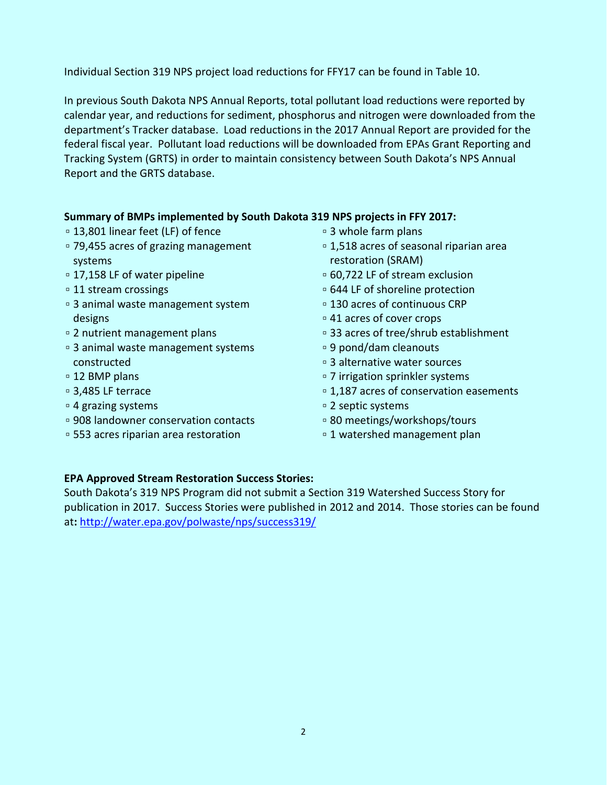Individual Section 319 NPS project load reductions for FFY17 can be found in Table 10.

In previous South Dakota NPS Annual Reports, total pollutant load reductions were reported by calendar year, and reductions for sediment, phosphorus and nitrogen were downloaded from the department's Tracker database. Load reductions in the 2017 Annual Report are provided for the federal fiscal year. Pollutant load reductions will be downloaded from EPAs Grant Reporting and Tracking System (GRTS) in order to maintain consistency between South Dakota's NPS Annual Report and the GRTS database.

## **Summary of BMPs implemented by South Dakota 319 NPS projects in FFY 2017:**

- 13,801 linear feet (LF) of fence
- 79,455 acres of grazing management systems
- 17,158 LF of water pipeline
- ▫11 stream crossings
- ▫3 animal waste management system designs
- ▫2 nutrient management plans
- 3 animal waste management systems constructed
- 12 BMP plans
- ▫3,485 LF terrace
- ▫4 grazing systems
- ▫908 landowner conservation contacts
- 553 acres riparian area restoration
- 3 whole farm plans
- 1,518 acres of seasonal riparian area restoration (SRAM)
- 60,722 LF of stream exclusion
- 644 LF of shoreline protection
- 130 acres of continuous CRP
- 41 acres of cover crops
- 33 acres of tree/shrub establishment
- 9 pond/dam cleanouts
- ▫3 alternative water sources
- ▫7 irrigation sprinkler systems
- ▫1,187 acres of conservation easements
- ▫2 septic systems
- ▫80 meetings/workshops/tours
- ▫1 watershed management plan

#### **EPA Approved Stream Restoration Success Stories:**

South Dakota's 319 NPS Program did not submit a Section 319 Watershed Success Story for publication in 2017. Success Stories were published in 2012 and 2014. Those stories can be found at**:** <http://water.epa.gov/polwaste/nps/success319/>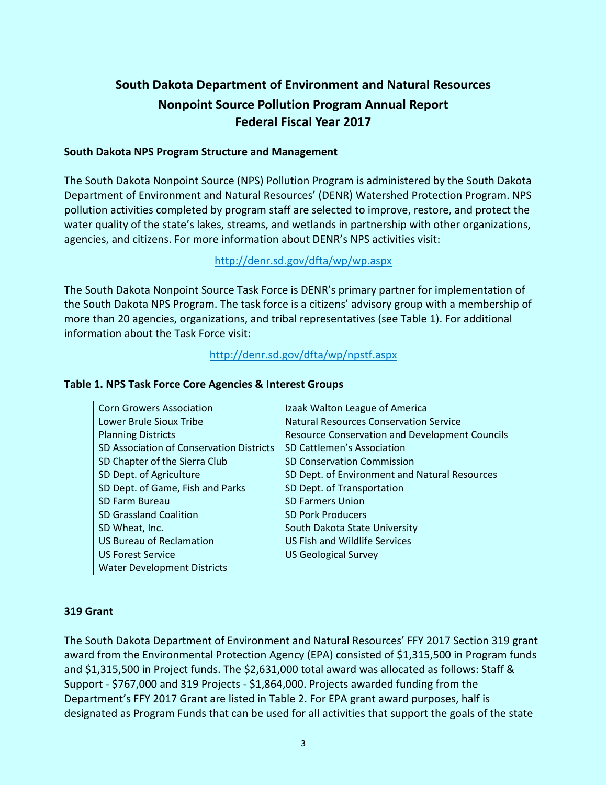# **South Dakota Department of Environment and Natural Resources Nonpoint Source Pollution Program Annual Report Federal Fiscal Year 2017**

#### **South Dakota NPS Program Structure and Management**

The South Dakota Nonpoint Source (NPS) Pollution Program is administered by the South Dakota Department of Environment and Natural Resources' (DENR) Watershed Protection Program. NPS pollution activities completed by program staff are selected to improve, restore, and protect the water quality of the state's lakes, streams, and wetlands in partnership with other organizations, agencies, and citizens. For more information about DENR's NPS activities visit:

## <http://denr.sd.gov/dfta/wp/wp.aspx>

The South Dakota Nonpoint Source Task Force is DENR's primary partner for implementation of the South Dakota NPS Program. The task force is a citizens' advisory group with a membership of more than 20 agencies, organizations, and tribal representatives (see Table 1). For additional information about the Task Force visit:

## <http://denr.sd.gov/dfta/wp/npstf.aspx>

| <b>Corn Growers Association</b>          | Izaak Walton League of America                        |
|------------------------------------------|-------------------------------------------------------|
| Lower Brule Sioux Tribe                  | <b>Natural Resources Conservation Service</b>         |
| <b>Planning Districts</b>                | <b>Resource Conservation and Development Councils</b> |
| SD Association of Conservation Districts | SD Cattlemen's Association                            |
| SD Chapter of the Sierra Club            | <b>SD Conservation Commission</b>                     |
| SD Dept. of Agriculture                  | SD Dept. of Environment and Natural Resources         |
| SD Dept. of Game, Fish and Parks         | SD Dept. of Transportation                            |
| <b>SD Farm Bureau</b>                    | <b>SD Farmers Union</b>                               |
| <b>SD Grassland Coalition</b>            | <b>SD Pork Producers</b>                              |
| SD Wheat, Inc.                           | South Dakota State University                         |
| <b>US Bureau of Reclamation</b>          | US Fish and Wildlife Services                         |
| <b>US Forest Service</b>                 | <b>US Geological Survey</b>                           |
| <b>Water Development Districts</b>       |                                                       |

#### **Table 1. NPS Task Force Core Agencies & Interest Groups**

#### **319 Grant**

The South Dakota Department of Environment and Natural Resources' FFY 2017 Section 319 grant award from the Environmental Protection Agency (EPA) consisted of \$1,315,500 in Program funds and \$1,315,500 in Project funds. The \$2,631,000 total award was allocated as follows: Staff & Support - \$767,000 and 319 Projects - \$1,864,000. Projects awarded funding from the Department's FFY 2017 Grant are listed in Table 2. For EPA grant award purposes, half is designated as Program Funds that can be used for all activities that support the goals of the state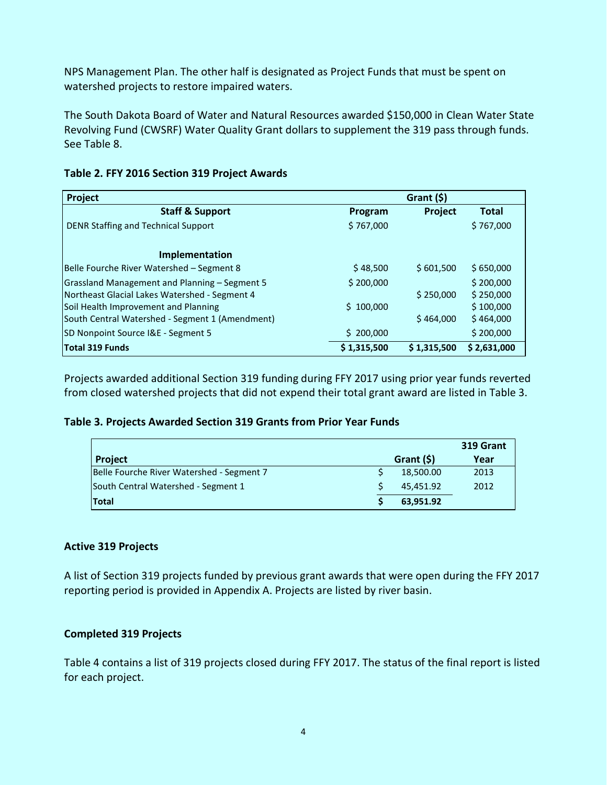NPS Management Plan. The other half is designated as Project Funds that must be spent on watershed projects to restore impaired waters.

The South Dakota Board of Water and Natural Resources awarded \$150,000 in Clean Water State Revolving Fund (CWSRF) Water Quality Grant dollars to supplement the 319 pass through funds. See Table 8.

| Project                                         |             | Grant $(5)$ |              |
|-------------------------------------------------|-------------|-------------|--------------|
| <b>Staff &amp; Support</b>                      | Program     | Project     | <b>Total</b> |
| DENR Staffing and Technical Support             | \$767,000   |             | \$767,000    |
| Implementation                                  |             |             |              |
| Belle Fourche River Watershed - Segment 8       | \$48,500    | \$601,500   | \$650,000    |
| Grassland Management and Planning - Segment 5   | \$200,000   |             | \$200,000    |
| Northeast Glacial Lakes Watershed - Segment 4   |             | \$250,000   | \$250,000    |
| Soil Health Improvement and Planning            | \$100,000   |             | \$100,000    |
| South Central Watershed - Segment 1 (Amendment) |             | \$464,000   | \$464,000    |
| SD Nonpoint Source I&E - Segment 5              | \$200,000   |             | \$200,000    |
| Total 319 Funds                                 | \$1,315,500 | \$1,315,500 | \$2,631,000  |

## **Table 2. FFY 2016 Section 319 Project Awards**

Projects awarded additional Section 319 funding during FFY 2017 using prior year funds reverted from closed watershed projects that did not expend their total grant award are listed in Table 3.

#### **Table 3. Projects Awarded Section 319 Grants from Prior Year Funds**

|                                           |             | 319 Grant |
|-------------------------------------------|-------------|-----------|
| <b>Project</b>                            | Grant $(5)$ | Year      |
| Belle Fourche River Watershed - Segment 7 | 18,500.00   | 2013      |
| South Central Watershed - Segment 1       | 45,451.92   | 2012      |
| <b>Total</b>                              | 63,951.92   |           |

#### **Active 319 Projects**

A list of Section 319 projects funded by previous grant awards that were open during the FFY 2017 reporting period is provided in Appendix A. Projects are listed by river basin.

#### **Completed 319 Projects**

Table 4 contains a list of 319 projects closed during FFY 2017. The status of the final report is listed for each project.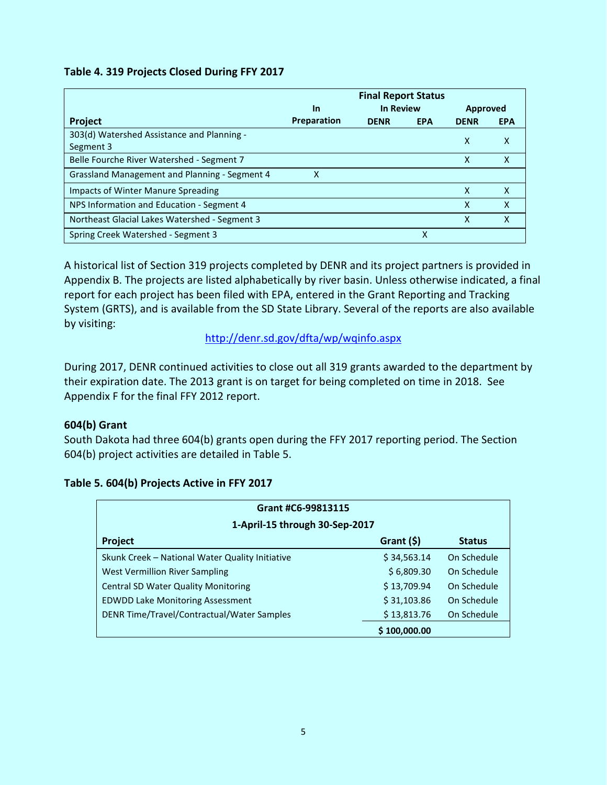## **Table 4. 319 Projects Closed During FFY 2017**

|                                               |             | <b>Final Report Status</b> |            |             |            |
|-----------------------------------------------|-------------|----------------------------|------------|-------------|------------|
|                                               | In          | <b>In Review</b>           |            | Approved    |            |
| <b>Project</b>                                | Preparation | <b>DENR</b>                | <b>EPA</b> | <b>DENR</b> | <b>EPA</b> |
| 303(d) Watershed Assistance and Planning -    |             |                            |            | X           | X          |
| Segment 3                                     |             |                            |            |             |            |
| Belle Fourche River Watershed - Segment 7     |             |                            |            | χ           | X          |
| Grassland Management and Planning - Segment 4 | x           |                            |            |             |            |
| Impacts of Winter Manure Spreading            |             |                            |            | X           | X          |
| NPS Information and Education - Segment 4     |             |                            |            | χ           | X          |
| Northeast Glacial Lakes Watershed - Segment 3 |             |                            |            | x           | X          |
| Spring Creek Watershed - Segment 3            |             |                            | х          |             |            |

A historical list of Section 319 projects completed by DENR and its project partners is provided in Appendix B. The projects are listed alphabetically by river basin. Unless otherwise indicated, a final report for each project has been filed with EPA, entered in the Grant Reporting and Tracking System (GRTS), and is available from the SD State Library. Several of the reports are also available by visiting:

<http://denr.sd.gov/dfta/wp/wqinfo.aspx>

During 2017, DENR continued activities to close out all 319 grants awarded to the department by their expiration date. The 2013 grant is on target for being completed on time in 2018. See Appendix F for the final FFY 2012 report.

## **604(b) Grant**

South Dakota had three 604(b) grants open during the FFY 2017 reporting period. The Section 604(b) project activities are detailed in Table 5.

| Grant #C6-99813115                              |              |               |  |
|-------------------------------------------------|--------------|---------------|--|
| 1-April-15 through 30-Sep-2017                  |              |               |  |
| Project                                         | Grant $(5)$  | <b>Status</b> |  |
| Skunk Creek - National Water Quality Initiative | \$34,563.14  | On Schedule   |  |
| West Vermillion River Sampling                  | \$6,809.30   | On Schedule   |  |
| <b>Central SD Water Quality Monitoring</b>      | \$13,709.94  | On Schedule   |  |
| <b>EDWDD Lake Monitoring Assessment</b>         | \$31,103.86  | On Schedule   |  |
| DENR Time/Travel/Contractual/Water Samples      | \$13,813.76  | On Schedule   |  |
|                                                 | \$100,000.00 |               |  |

## **Table 5. 604(b) Projects Active in FFY 2017**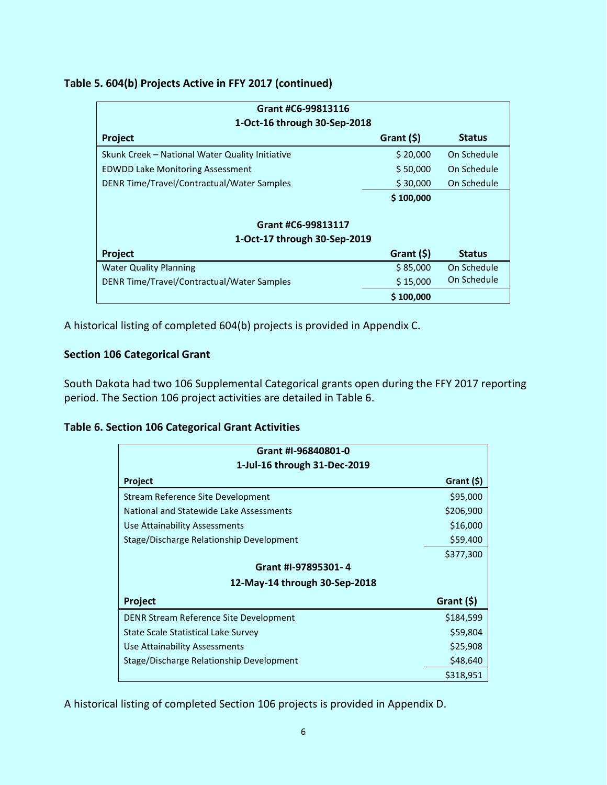## **Table 5. 604(b) Projects Active in FFY 2017 (continued)**

| Grant #C6-99813116                              |                              |               |  |  |
|-------------------------------------------------|------------------------------|---------------|--|--|
|                                                 | 1-Oct-16 through 30-Sep-2018 |               |  |  |
| Project                                         | Grant $(5)$                  | <b>Status</b> |  |  |
| Skunk Creek - National Water Quality Initiative | \$20,000                     | On Schedule   |  |  |
| <b>EDWDD Lake Monitoring Assessment</b>         | \$50,000                     | On Schedule   |  |  |
| DENR Time/Travel/Contractual/Water Samples      | \$30,000                     | On Schedule   |  |  |
|                                                 | \$100,000                    |               |  |  |
|                                                 |                              |               |  |  |
| Grant #C6-99813117                              |                              |               |  |  |
| 1-Oct-17 through 30-Sep-2019                    |                              |               |  |  |
| Project                                         | Grant $($ \$)                | <b>Status</b> |  |  |
| <b>Water Quality Planning</b>                   | \$85,000                     | On Schedule   |  |  |
| DENR Time/Travel/Contractual/Water Samples      | \$15,000                     | On Schedule   |  |  |
|                                                 | \$100,000                    |               |  |  |

A historical listing of completed 604(b) projects is provided in Appendix C.

## **Section 106 Categorical Grant**

South Dakota had two 106 Supplemental Categorical grants open during the FFY 2017 reporting period. The Section 106 project activities are detailed in Table 6.

## **Table 6. Section 106 Categorical Grant Activities**

| Grant #I-96840801-0                      |               |  |  |
|------------------------------------------|---------------|--|--|
| 1-Jul-16 through 31-Dec-2019             |               |  |  |
| Project                                  | Grant $($ \$) |  |  |
| Stream Reference Site Development        | \$95,000      |  |  |
| National and Statewide Lake Assessments  | \$206,900     |  |  |
| Use Attainability Assessments            | \$16,000      |  |  |
| Stage/Discharge Relationship Development | \$59,400      |  |  |
|                                          | \$377,300     |  |  |
| Grant #I-97895301-4                      |               |  |  |
| 12-May-14 through 30-Sep-2018            |               |  |  |
| Project                                  | Grant (\$)    |  |  |
| DENR Stream Reference Site Development   | \$184,599     |  |  |
| State Scale Statistical Lake Survey      | \$59,804      |  |  |
| Use Attainability Assessments            | \$25,908      |  |  |
| Stage/Discharge Relationship Development | \$48,640      |  |  |
|                                          | \$318,951     |  |  |

A historical listing of completed Section 106 projects is provided in Appendix D.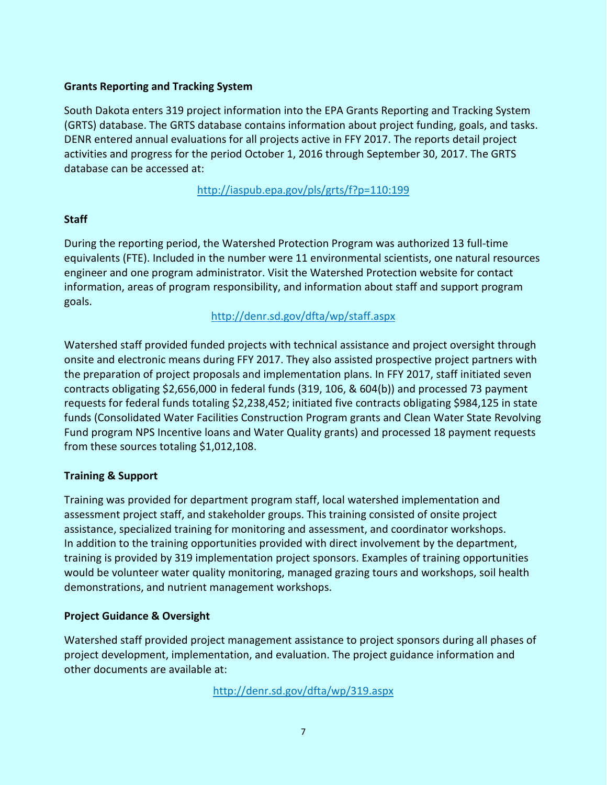## **Grants Reporting and Tracking System**

South Dakota enters 319 project information into the EPA Grants Reporting and Tracking System (GRTS) database. The GRTS database contains information about project funding, goals, and tasks. DENR entered annual evaluations for all projects active in FFY 2017. The reports detail project activities and progress for the period October 1, 2016 through September 30, 2017. The GRTS database can be accessed at:

<http://iaspub.epa.gov/pls/grts/f?p=110:199>

## **Staff**

During the reporting period, the Watershed Protection Program was authorized 13 full-time equivalents (FTE). Included in the number were 11 environmental scientists, one natural resources engineer and one program administrator. Visit the Watershed Protection website for contact information, areas of program responsibility, and information about staff and support program goals.

<http://denr.sd.gov/dfta/wp/staff.aspx>

Watershed staff provided funded projects with technical assistance and project oversight through onsite and electronic means during FFY 2017. They also assisted prospective project partners with the preparation of project proposals and implementation plans. In FFY 2017, staff initiated seven contracts obligating \$2,656,000 in federal funds (319, 106, & 604(b)) and processed 73 payment requests for federal funds totaling \$2,238,452; initiated five contracts obligating \$984,125 in state funds (Consolidated Water Facilities Construction Program grants and Clean Water State Revolving Fund program NPS Incentive loans and Water Quality grants) and processed 18 payment requests from these sources totaling \$1,012,108.

## **Training & Support**

Training was provided for department program staff, local watershed implementation and assessment project staff, and stakeholder groups. This training consisted of onsite project assistance, specialized training for monitoring and assessment, and coordinator workshops. In addition to the training opportunities provided with direct involvement by the department, training is provided by 319 implementation project sponsors. Examples of training opportunities would be volunteer water quality monitoring, managed grazing tours and workshops, soil health demonstrations, and nutrient management workshops.

## **Project Guidance & Oversight**

Watershed staff provided project management assistance to project sponsors during all phases of project development, implementation, and evaluation. The project guidance information and other documents are available at:

<http://denr.sd.gov/dfta/wp/319.aspx>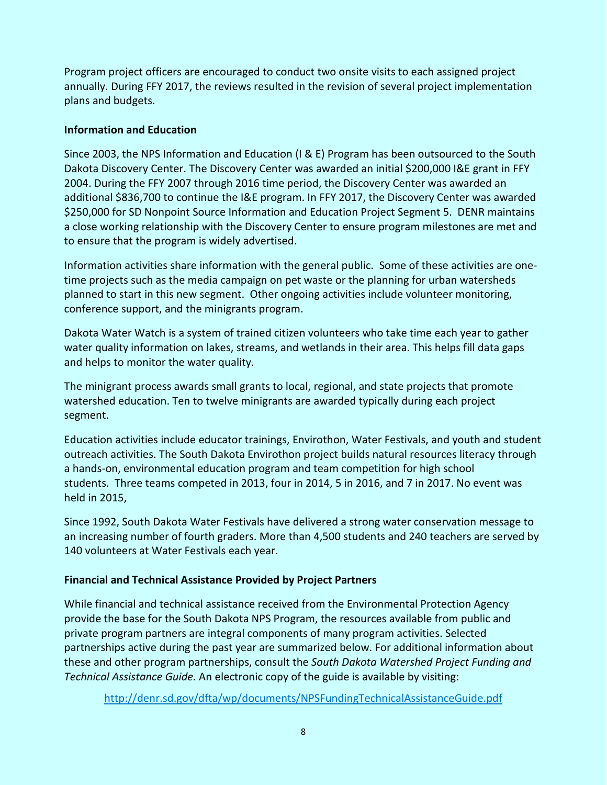Program project officers are encouraged to conduct two onsite visits to each assigned project annually. During FFY 2017, the reviews resulted in the revision of several project implementation plans and budgets.

## **Information and Education**

Since 2003, the NPS Information and Education (I & E) Program has been outsourced to the South Dakota Discovery Center. The Discovery Center was awarded an initial \$200,000 I&E grant in FFY 2004. During the FFY 2007 through 2016 time period, the Discovery Center was awarded an additional \$836,700 to continue the I&E program. In FFY 2017, the Discovery Center was awarded \$250,000 for SD Nonpoint Source Information and Education Project Segment 5. DENR maintains a close working relationship with the Discovery Center to ensure program milestones are met and to ensure that the program is widely advertised.

Information activities share information with the general public. Some of these activities are onetime projects such as the media campaign on pet waste or the planning for urban watersheds planned to start in this new segment. Other ongoing activities include volunteer monitoring, conference support, and the minigrants program.

Dakota Water Watch is a system of trained citizen volunteers who take time each year to gather water quality information on lakes, streams, and wetlands in their area. This helps fill data gaps and helps to monitor the water quality.

The minigrant process awards small grants to local, regional, and state projects that promote watershed education. Ten to twelve minigrants are awarded typically during each project segment.

Education activities include educator trainings, Envirothon, Water Festivals, and youth and student outreach activities. The South Dakota Envirothon project builds natural resources literacy through a hands-on, environmental education program and team competition for high school students. Three teams competed in 2013, four in 2014, 5 in 2016, and 7 in 2017. No event was held in 2015,

Since 1992, South Dakota Water Festivals have delivered a strong water conservation message to an increasing number of fourth graders. More than 4,500 students and 240 teachers are served by 140 volunteers at Water Festivals each year.

## **Financial and Technical Assistance Provided by Project Partners**

While financial and technical assistance received from the Environmental Protection Agency provide the base for the South Dakota NPS Program, the resources available from public and private program partners are integral components of many program activities. Selected partnerships active during the past year are summarized below. For additional information about these and other program partnerships, consult the *South Dakota Watershed Project Funding and Technical Assistance Guide.* An electronic copy of the guide is available by visiting:

<http://denr.sd.gov/dfta/wp/documents/NPSFundingTechnicalAssistanceGuide.pdf>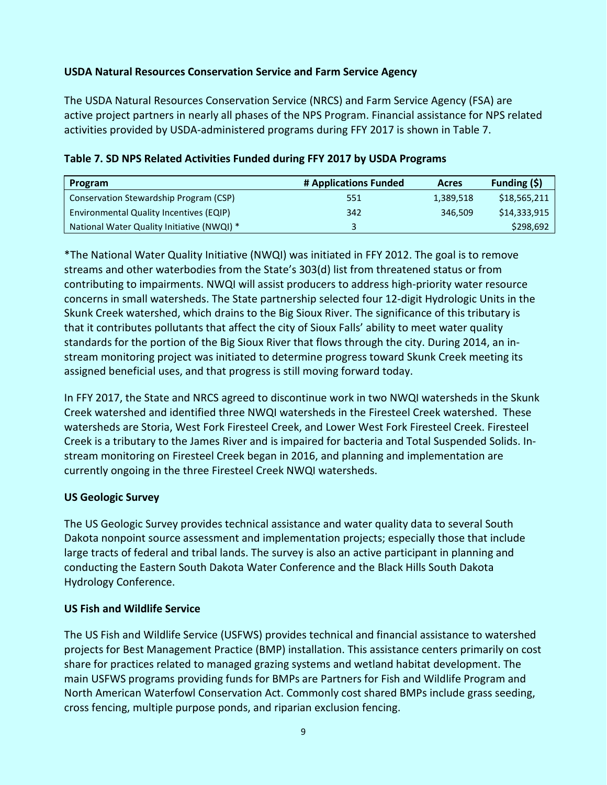## **USDA Natural Resources Conservation Service and Farm Service Agency**

The USDA Natural Resources Conservation Service (NRCS) and Farm Service Agency (FSA) are active project partners in nearly all phases of the NPS Program. Financial assistance for NPS related activities provided by USDA-administered programs during FFY 2017 is shown in Table 7.

| Program                                    | # Applications Funded | Acres     | Funding $(5)$ |
|--------------------------------------------|-----------------------|-----------|---------------|
| Conservation Stewardship Program (CSP)     | 551                   | 1,389,518 | \$18,565,211  |
| Environmental Quality Incentives (EQIP)    | 342                   | 346.509   | \$14,333,915  |
| National Water Quality Initiative (NWQI) * | 2                     |           | \$298,692     |

**Table 7. SD NPS Related Activities Funded during FFY 2017 by USDA Programs**

\*The National Water Quality Initiative (NWQI) was initiated in FFY 2012. The goal is to remove streams and other waterbodies from the State's 303(d) list from threatened status or from contributing to impairments. NWQI will assist producers to address high-priority water resource concerns in small watersheds. The State partnership selected four 12-digit Hydrologic Units in the Skunk Creek watershed, which drains to the Big Sioux River. The significance of this tributary is that it contributes pollutants that affect the city of Sioux Falls' ability to meet water quality standards for the portion of the Big Sioux River that flows through the city. During 2014, an instream monitoring project was initiated to determine progress toward Skunk Creek meeting its assigned beneficial uses, and that progress is still moving forward today.

In FFY 2017, the State and NRCS agreed to discontinue work in two NWQI watersheds in the Skunk Creek watershed and identified three NWQI watersheds in the Firesteel Creek watershed. These watersheds are Storia, West Fork Firesteel Creek, and Lower West Fork Firesteel Creek. Firesteel Creek is a tributary to the James River and is impaired for bacteria and Total Suspended Solids. Instream monitoring on Firesteel Creek began in 2016, and planning and implementation are currently ongoing in the three Firesteel Creek NWQI watersheds.

#### **US Geologic Survey**

The US Geologic Survey provides technical assistance and water quality data to several South Dakota nonpoint source assessment and implementation projects; especially those that include large tracts of federal and tribal lands. The survey is also an active participant in planning and conducting the Eastern South Dakota Water Conference and the Black Hills South Dakota Hydrology Conference.

#### **US Fish and Wildlife Service**

The US Fish and Wildlife Service (USFWS) provides technical and financial assistance to watershed projects for Best Management Practice (BMP) installation. This assistance centers primarily on cost share for practices related to managed grazing systems and wetland habitat development. The main USFWS programs providing funds for BMPs are Partners for Fish and Wildlife Program and North American Waterfowl Conservation Act. Commonly cost shared BMPs include grass seeding, cross fencing, multiple purpose ponds, and riparian exclusion fencing.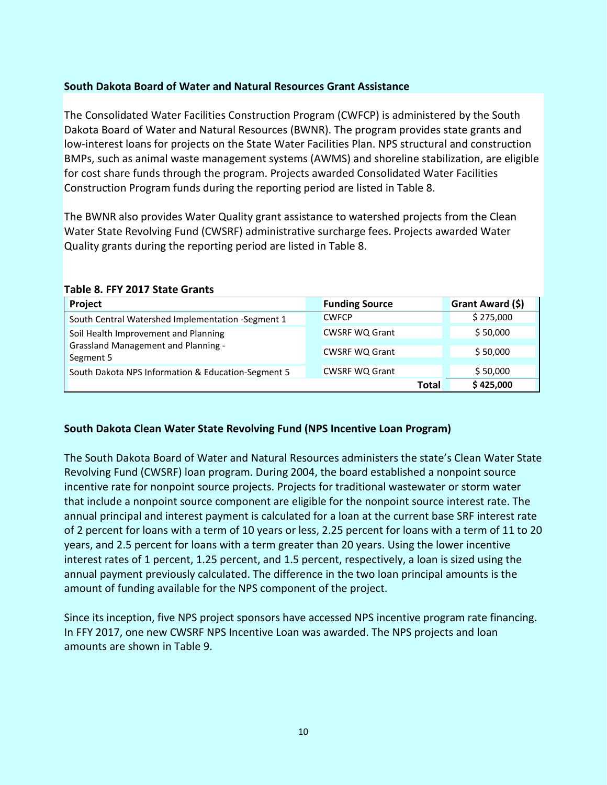## **South Dakota Board of Water and Natural Resources Grant Assistance**

The Consolidated Water Facilities Construction Program (CWFCP) is administered by the South Dakota Board of Water and Natural Resources (BWNR). The program provides state grants and low-interest loans for projects on the State Water Facilities Plan. NPS structural and construction BMPs, such as animal waste management systems (AWMS) and shoreline stabilization, are eligible for cost share funds through the program. Projects awarded Consolidated Water Facilities Construction Program funds during the reporting period are listed in Table 8.

The BWNR also provides Water Quality grant assistance to watershed projects from the Clean Water State Revolving Fund (CWSRF) administrative surcharge fees. Projects awarded Water Quality grants during the reporting period are listed in Table 8.

| Project                                                 | <b>Funding Source</b> |              | Grant Award (\$) |
|---------------------------------------------------------|-----------------------|--------------|------------------|
| South Central Watershed Implementation -Segment 1       | <b>CWFCP</b>          |              | \$275,000        |
| Soil Health Improvement and Planning                    | <b>CWSRF WQ Grant</b> |              | \$50,000         |
| <b>Grassland Management and Planning -</b><br>Segment 5 | <b>CWSRF WQ Grant</b> |              | \$50,000         |
| South Dakota NPS Information & Education-Segment 5      | <b>CWSRF WQ Grant</b> |              | \$50,000         |
|                                                         |                       | <b>Total</b> | \$425,000        |

#### **Table 8. FFY 2017 State Grants**

#### **South Dakota Clean Water State Revolving Fund (NPS Incentive Loan Program)**

The South Dakota Board of Water and Natural Resources administers the state's Clean Water State Revolving Fund (CWSRF) loan program. During 2004, the board established a nonpoint source incentive rate for nonpoint source projects. Projects for traditional wastewater or storm water that include a nonpoint source component are eligible for the nonpoint source interest rate. The annual principal and interest payment is calculated for a loan at the current base SRF interest rate of 2 percent for loans with a term of 10 years or less, 2.25 percent for loans with a term of 11 to 20 years, and 2.5 percent for loans with a term greater than 20 years. Using the lower incentive interest rates of 1 percent, 1.25 percent, and 1.5 percent, respectively, a loan is sized using the annual payment previously calculated. The difference in the two loan principal amounts is the amount of funding available for the NPS component of the project.

Since its inception, five NPS project sponsors have accessed NPS incentive program rate financing. In FFY 2017, one new CWSRF NPS Incentive Loan was awarded. The NPS projects and loan amounts are shown in Table 9.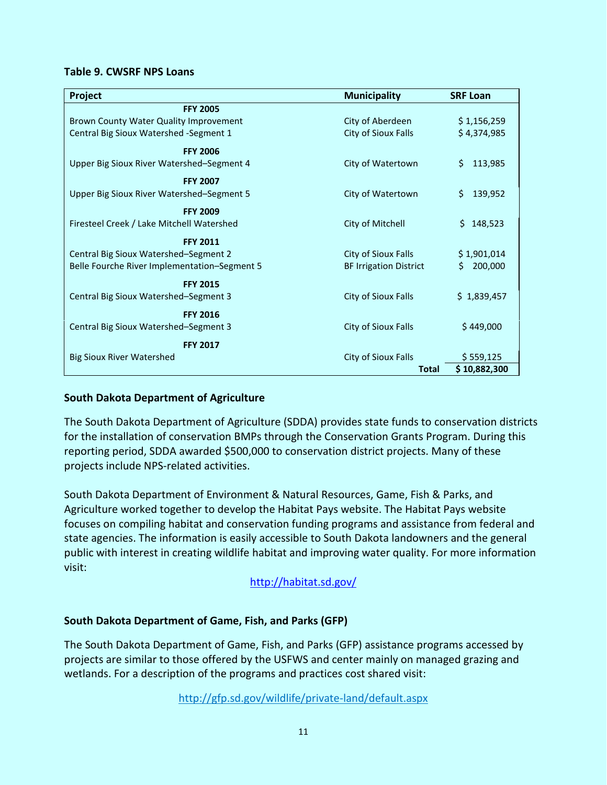#### **Table 9. CWSRF NPS Loans**

| Project                                      | <b>Municipality</b>           | <b>SRF Loan</b> |
|----------------------------------------------|-------------------------------|-----------------|
| <b>FFY 2005</b>                              |                               |                 |
| Brown County Water Quality Improvement       | City of Aberdeen              | \$1,156,259     |
| Central Big Sioux Watershed - Segment 1      | City of Sioux Falls           | \$4,374,985     |
| <b>FFY 2006</b>                              |                               |                 |
| Upper Big Sioux River Watershed-Segment 4    | City of Watertown             | 113,985<br>S.   |
| <b>FFY 2007</b>                              |                               |                 |
| Upper Big Sioux River Watershed-Segment 5    | City of Watertown             | 139,952<br>S.   |
| <b>FFY 2009</b>                              |                               |                 |
| Firesteel Creek / Lake Mitchell Watershed    | City of Mitchell              | \$148,523       |
| <b>FFY 2011</b>                              |                               |                 |
| Central Big Sioux Watershed-Segment 2        | City of Sioux Falls           | \$1,901,014     |
| Belle Fourche River Implementation-Segment 5 | <b>BF Irrigation District</b> | 200,000<br>S.   |
| <b>FFY 2015</b>                              |                               |                 |
| Central Big Sioux Watershed-Segment 3        | City of Sioux Falls           | \$1,839,457     |
| <b>FFY 2016</b>                              |                               |                 |
| Central Big Sioux Watershed-Segment 3        | City of Sioux Falls           | \$449,000       |
| <b>FFY 2017</b>                              |                               |                 |
| <b>Big Sioux River Watershed</b>             | City of Sioux Falls           | \$559,125       |
|                                              | Total                         | \$10,882,300    |

#### **South Dakota Department of Agriculture**

The South Dakota Department of Agriculture (SDDA) provides state funds to conservation districts for the installation of conservation BMPs through the Conservation Grants Program. During this reporting period, SDDA awarded \$500,000 to conservation district projects. Many of these projects include NPS-related activities.

South Dakota Department of Environment & Natural Resources, Game, Fish & Parks, and Agriculture worked together to develop the Habitat Pays website. The Habitat Pays website focuses on compiling habitat and conservation funding programs and assistance from federal and state agencies. The information is easily accessible to South Dakota landowners and the general public with interest in creating wildlife habitat and improving water quality. For more information visit:

<http://habitat.sd.gov/>

#### **South Dakota Department of Game, Fish, and Parks (GFP)**

The South Dakota Department of Game, Fish, and Parks (GFP) assistance programs accessed by projects are similar to those offered by the USFWS and center mainly on managed grazing and wetlands. For a description of the programs and practices cost shared visit:

<http://gfp.sd.gov/wildlife/private-land/default.aspx>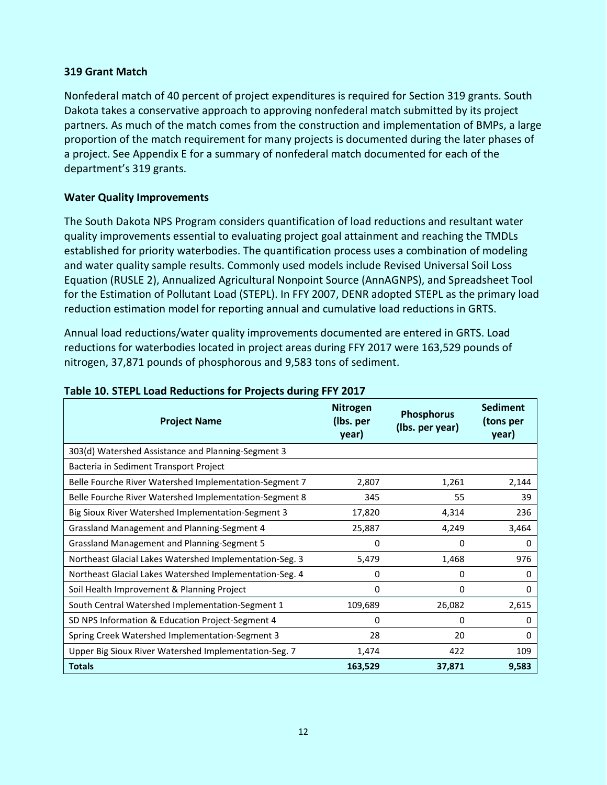## **319 Grant Match**

Nonfederal match of 40 percent of project expenditures is required for Section 319 grants. South Dakota takes a conservative approach to approving nonfederal match submitted by its project partners. As much of the match comes from the construction and implementation of BMPs, a large proportion of the match requirement for many projects is documented during the later phases of a project. See Appendix E for a summary of nonfederal match documented for each of the department's 319 grants.

## **Water Quality Improvements**

The South Dakota NPS Program considers quantification of load reductions and resultant water quality improvements essential to evaluating project goal attainment and reaching the TMDLs established for priority waterbodies. The quantification process uses a combination of modeling and water quality sample results. Commonly used models include Revised Universal Soil Loss Equation (RUSLE 2), Annualized Agricultural Nonpoint Source (AnnAGNPS), and Spreadsheet Tool for the Estimation of Pollutant Load (STEPL). In FFY 2007, DENR adopted STEPL as the primary load reduction estimation model for reporting annual and cumulative load reductions in GRTS.

Annual load reductions/water quality improvements documented are entered in GRTS. Load reductions for waterbodies located in project areas during FFY 2017 were 163,529 pounds of nitrogen, 37,871 pounds of phosphorous and 9,583 tons of sediment.

| <b>Project Name</b>                                     | <b>Nitrogen</b><br>(Ibs. per<br>year) | <b>Phosphorus</b><br>(Ibs. per year) | <b>Sediment</b><br>(tons per<br>year) |
|---------------------------------------------------------|---------------------------------------|--------------------------------------|---------------------------------------|
| 303(d) Watershed Assistance and Planning-Segment 3      |                                       |                                      |                                       |
| Bacteria in Sediment Transport Project                  |                                       |                                      |                                       |
| Belle Fourche River Watershed Implementation-Segment 7  | 2,807                                 | 1,261                                | 2,144                                 |
| Belle Fourche River Watershed Implementation-Segment 8  | 345                                   | 55                                   | 39                                    |
| Big Sioux River Watershed Implementation-Segment 3      | 17,820                                | 4,314                                | 236                                   |
| Grassland Management and Planning-Segment 4             | 25,887                                | 4,249                                | 3,464                                 |
| <b>Grassland Management and Planning-Segment 5</b>      | 0                                     | 0                                    | 0                                     |
| Northeast Glacial Lakes Watershed Implementation-Seg. 3 | 5,479                                 | 1,468                                | 976                                   |
| Northeast Glacial Lakes Watershed Implementation-Seg. 4 | 0                                     | 0                                    | 0                                     |
| Soil Health Improvement & Planning Project              | 0                                     | 0                                    | 0                                     |
| South Central Watershed Implementation-Segment 1        | 109,689                               | 26,082                               | 2,615                                 |
| SD NPS Information & Education Project-Segment 4        | 0                                     | 0                                    | 0                                     |
| Spring Creek Watershed Implementation-Segment 3         | 28                                    | 20                                   | 0                                     |
| Upper Big Sioux River Watershed Implementation-Seg. 7   | 1,474                                 | 422                                  | 109                                   |
| <b>Totals</b>                                           | 163,529                               | 37,871                               | 9,583                                 |

## **Table 10. STEPL Load Reductions for Projects during FFY 2017**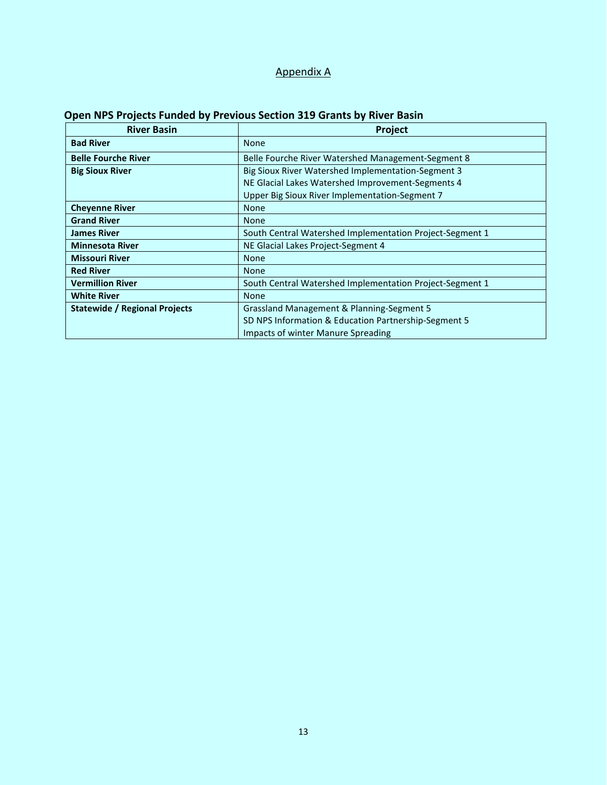## Appendix A

| <b>River Basin</b>                   | Project                                                  |
|--------------------------------------|----------------------------------------------------------|
| <b>Bad River</b>                     | <b>None</b>                                              |
| <b>Belle Fourche River</b>           | Belle Fourche River Watershed Management-Segment 8       |
| <b>Big Sioux River</b>               | Big Sioux River Watershed Implementation-Segment 3       |
|                                      | NE Glacial Lakes Watershed Improvement-Segments 4        |
|                                      | Upper Big Sioux River Implementation-Segment 7           |
| <b>Cheyenne River</b>                | <b>None</b>                                              |
| <b>Grand River</b>                   | <b>None</b>                                              |
| <b>James River</b>                   | South Central Watershed Implementation Project-Segment 1 |
| <b>Minnesota River</b>               | NE Glacial Lakes Project-Segment 4                       |
| <b>Missouri River</b>                | <b>None</b>                                              |
| <b>Red River</b>                     | <b>None</b>                                              |
| <b>Vermillion River</b>              | South Central Watershed Implementation Project-Segment 1 |
| <b>White River</b>                   | <b>None</b>                                              |
| <b>Statewide / Regional Projects</b> | Grassland Management & Planning-Segment 5                |
|                                      | SD NPS Information & Education Partnership-Segment 5     |
|                                      | Impacts of winter Manure Spreading                       |

## **Open NPS Projects Funded by Previous Section 319 Grants by River Basin**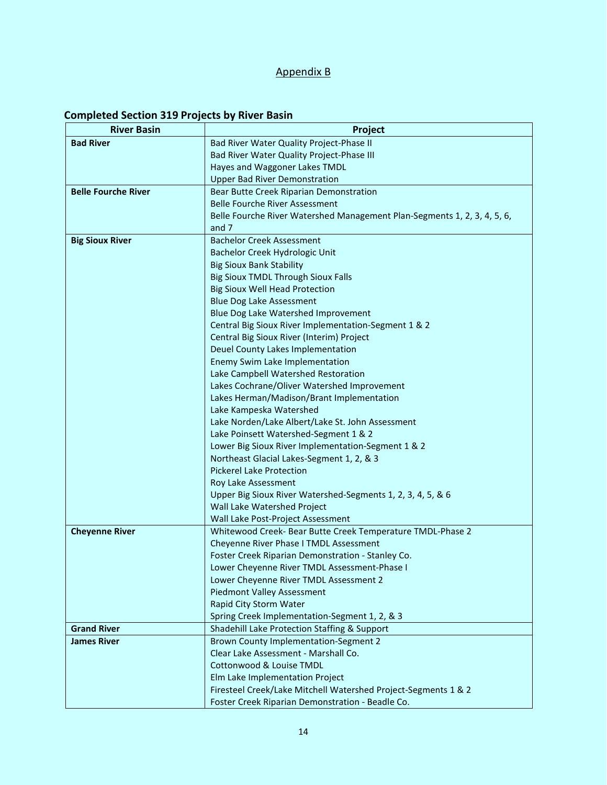## Appendix B

## **Completed Section 319 Projects by River Basin**

| <b>River Basin</b>         | Project                                                                                           |
|----------------------------|---------------------------------------------------------------------------------------------------|
| <b>Bad River</b>           | Bad River Water Quality Project-Phase II                                                          |
|                            | Bad River Water Quality Project-Phase III                                                         |
|                            | Hayes and Waggoner Lakes TMDL                                                                     |
|                            | <b>Upper Bad River Demonstration</b>                                                              |
| <b>Belle Fourche River</b> | Bear Butte Creek Riparian Demonstration                                                           |
|                            | <b>Belle Fourche River Assessment</b>                                                             |
|                            | Belle Fourche River Watershed Management Plan-Segments 1, 2, 3, 4, 5, 6,                          |
|                            | and 7                                                                                             |
| <b>Big Sioux River</b>     | <b>Bachelor Creek Assessment</b>                                                                  |
|                            | Bachelor Creek Hydrologic Unit                                                                    |
|                            | <b>Big Sioux Bank Stability</b>                                                                   |
|                            | <b>Big Sioux TMDL Through Sioux Falls</b>                                                         |
|                            | <b>Big Sioux Well Head Protection</b>                                                             |
|                            | <b>Blue Dog Lake Assessment</b>                                                                   |
|                            | Blue Dog Lake Watershed Improvement                                                               |
|                            | Central Big Sioux River Implementation-Segment 1 & 2                                              |
|                            | Central Big Sioux River (Interim) Project                                                         |
|                            | Deuel County Lakes Implementation                                                                 |
|                            | Enemy Swim Lake Implementation                                                                    |
|                            | Lake Campbell Watershed Restoration                                                               |
|                            | Lakes Cochrane/Oliver Watershed Improvement                                                       |
|                            | Lakes Herman/Madison/Brant Implementation                                                         |
|                            | Lake Kampeska Watershed                                                                           |
|                            | Lake Norden/Lake Albert/Lake St. John Assessment                                                  |
|                            | Lake Poinsett Watershed-Segment 1 & 2                                                             |
|                            | Lower Big Sioux River Implementation-Segment 1 & 2                                                |
|                            | Northeast Glacial Lakes-Segment 1, 2, & 3                                                         |
|                            | <b>Pickerel Lake Protection</b>                                                                   |
|                            | Roy Lake Assessment                                                                               |
|                            | Upper Big Sioux River Watershed-Segments 1, 2, 3, 4, 5, & 6                                       |
|                            | Wall Lake Watershed Project                                                                       |
|                            | Wall Lake Post-Project Assessment                                                                 |
| <b>Cheyenne River</b>      | Whitewood Creek- Bear Butte Creek Temperature TMDL-Phase 2                                        |
|                            | Cheyenne River Phase I TMDL Assessment                                                            |
|                            | Foster Creek Riparian Demonstration - Stanley Co.                                                 |
|                            | Lower Cheyenne River TMDL Assessment-Phase I                                                      |
|                            | Lower Cheyenne River TMDL Assessment 2<br><b>Piedmont Valley Assessment</b>                       |
|                            | Rapid City Storm Water                                                                            |
|                            | Spring Creek Implementation-Segment 1, 2, & 3                                                     |
| <b>Grand River</b>         | Shadehill Lake Protection Staffing & Support                                                      |
| <b>James River</b>         | Brown County Implementation-Segment 2                                                             |
|                            |                                                                                                   |
|                            |                                                                                                   |
|                            | Clear Lake Assessment - Marshall Co.                                                              |
|                            | Cottonwood & Louise TMDL                                                                          |
|                            | Elm Lake Implementation Project<br>Firesteel Creek/Lake Mitchell Watershed Project-Segments 1 & 2 |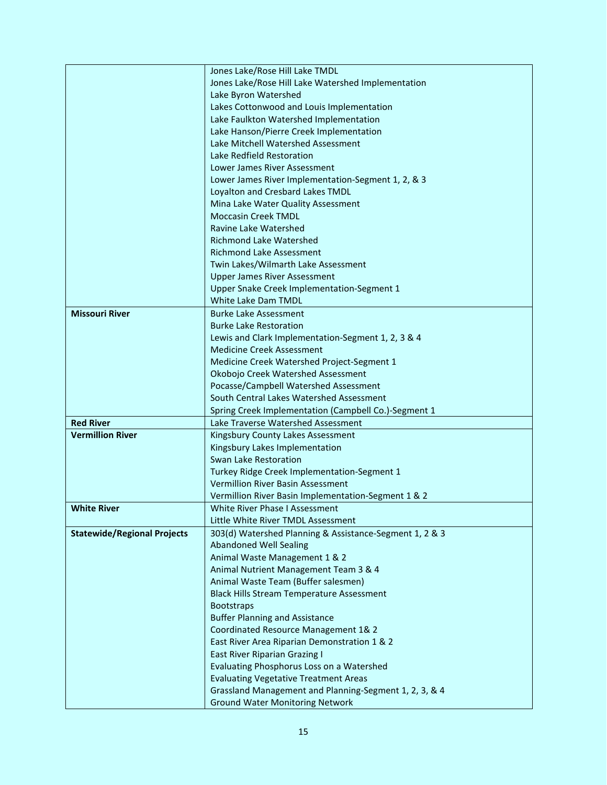|                                    | Jones Lake/Rose Hill Lake TMDL                          |
|------------------------------------|---------------------------------------------------------|
|                                    | Jones Lake/Rose Hill Lake Watershed Implementation      |
|                                    | Lake Byron Watershed                                    |
|                                    | Lakes Cottonwood and Louis Implementation               |
|                                    | Lake Faulkton Watershed Implementation                  |
|                                    | Lake Hanson/Pierre Creek Implementation                 |
|                                    | Lake Mitchell Watershed Assessment                      |
|                                    | Lake Redfield Restoration                               |
|                                    | Lower James River Assessment                            |
|                                    | Lower James River Implementation-Segment 1, 2, & 3      |
|                                    | Loyalton and Cresbard Lakes TMDL                        |
|                                    | Mina Lake Water Quality Assessment                      |
|                                    | <b>Moccasin Creek TMDL</b>                              |
|                                    | Ravine Lake Watershed                                   |
|                                    | <b>Richmond Lake Watershed</b>                          |
|                                    | <b>Richmond Lake Assessment</b>                         |
|                                    | Twin Lakes/Wilmarth Lake Assessment                     |
|                                    | <b>Upper James River Assessment</b>                     |
|                                    | Upper Snake Creek Implementation-Segment 1              |
|                                    | White Lake Dam TMDL                                     |
| <b>Missouri River</b>              | <b>Burke Lake Assessment</b>                            |
|                                    | <b>Burke Lake Restoration</b>                           |
|                                    | Lewis and Clark Implementation-Segment 1, 2, 3 & 4      |
|                                    | <b>Medicine Creek Assessment</b>                        |
|                                    | Medicine Creek Watershed Project-Segment 1              |
|                                    | Okobojo Creek Watershed Assessment                      |
|                                    | Pocasse/Campbell Watershed Assessment                   |
|                                    | South Central Lakes Watershed Assessment                |
|                                    | Spring Creek Implementation (Campbell Co.)-Segment 1    |
| <b>Red River</b>                   | Lake Traverse Watershed Assessment                      |
| <b>Vermillion River</b>            | Kingsbury County Lakes Assessment                       |
|                                    | Kingsbury Lakes Implementation                          |
|                                    | Swan Lake Restoration                                   |
|                                    | Turkey Ridge Creek Implementation-Segment 1             |
|                                    | Vermillion River Basin Assessment                       |
|                                    | Vermillion River Basin Implementation-Segment 1 & 2     |
| <b>White River</b>                 | White River Phase I Assessment                          |
|                                    | Little White River TMDL Assessment                      |
| <b>Statewide/Regional Projects</b> | 303(d) Watershed Planning & Assistance-Segment 1, 2 & 3 |
|                                    | <b>Abandoned Well Sealing</b>                           |
|                                    | Animal Waste Management 1 & 2                           |
|                                    | Animal Nutrient Management Team 3 & 4                   |
|                                    | Animal Waste Team (Buffer salesmen)                     |
|                                    | <b>Black Hills Stream Temperature Assessment</b>        |
|                                    | <b>Bootstraps</b>                                       |
|                                    | <b>Buffer Planning and Assistance</b>                   |
|                                    | Coordinated Resource Management 1& 2                    |
|                                    | East River Area Riparian Demonstration 1 & 2            |
|                                    | <b>East River Riparian Grazing I</b>                    |
|                                    | Evaluating Phosphorus Loss on a Watershed               |
|                                    | <b>Evaluating Vegetative Treatment Areas</b>            |
|                                    | Grassland Management and Planning-Segment 1, 2, 3, & 4  |
|                                    | <b>Ground Water Monitoring Network</b>                  |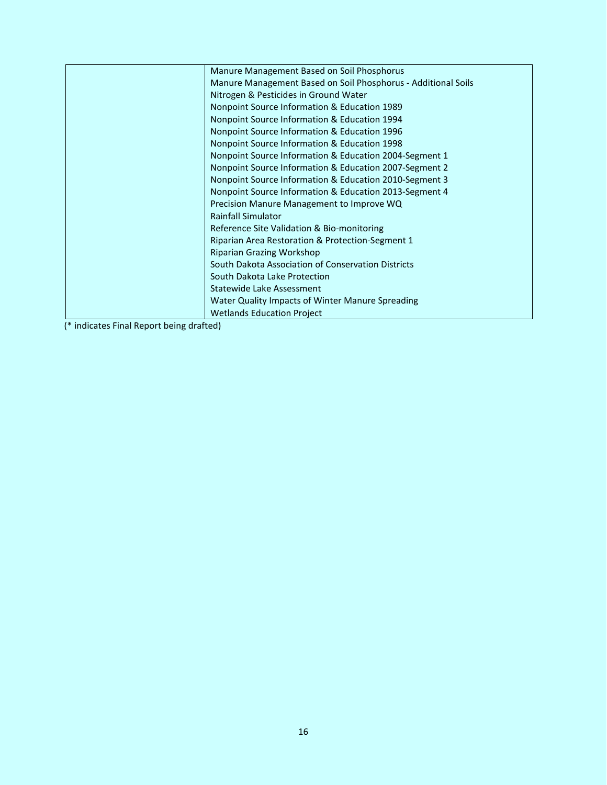| Manure Management Based on Soil Phosphorus                    |
|---------------------------------------------------------------|
| Manure Management Based on Soil Phosphorus - Additional Soils |
| Nitrogen & Pesticides in Ground Water                         |
| Nonpoint Source Information & Education 1989                  |
| Nonpoint Source Information & Education 1994                  |
| Nonpoint Source Information & Education 1996                  |
| Nonpoint Source Information & Education 1998                  |
| Nonpoint Source Information & Education 2004-Segment 1        |
| Nonpoint Source Information & Education 2007-Segment 2        |
| Nonpoint Source Information & Education 2010-Segment 3        |
| Nonpoint Source Information & Education 2013-Segment 4        |
| Precision Manure Management to Improve WQ                     |
| <b>Rainfall Simulator</b>                                     |
| Reference Site Validation & Bio-monitoring                    |
| Riparian Area Restoration & Protection-Segment 1              |
| Riparian Grazing Workshop                                     |
| South Dakota Association of Conservation Districts            |
| South Dakota Lake Protection                                  |
| Statewide Lake Assessment                                     |
| Water Quality Impacts of Winter Manure Spreading              |
| <b>Wetlands Education Project</b>                             |

(\* indicates Final Report being drafted)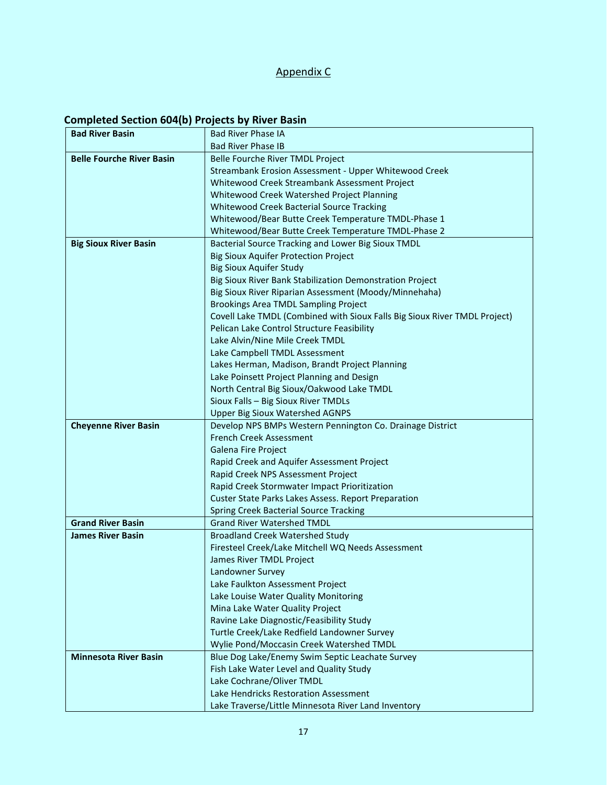## Appendix C

## **Completed Section 604(b) Projects by River Basin**

| <b>Bad River Basin</b>           | <b>Bad River Phase IA</b>                                                                   |
|----------------------------------|---------------------------------------------------------------------------------------------|
|                                  | <b>Bad River Phase IB</b>                                                                   |
| <b>Belle Fourche River Basin</b> | Belle Fourche River TMDL Project                                                            |
|                                  | Streambank Erosion Assessment - Upper Whitewood Creek                                       |
|                                  | Whitewood Creek Streambank Assessment Project                                               |
|                                  | Whitewood Creek Watershed Project Planning                                                  |
|                                  | <b>Whitewood Creek Bacterial Source Tracking</b>                                            |
|                                  | Whitewood/Bear Butte Creek Temperature TMDL-Phase 1                                         |
|                                  | Whitewood/Bear Butte Creek Temperature TMDL-Phase 2                                         |
| <b>Big Sioux River Basin</b>     | Bacterial Source Tracking and Lower Big Sioux TMDL                                          |
|                                  | <b>Big Sioux Aquifer Protection Project</b>                                                 |
|                                  | <b>Big Sioux Aquifer Study</b>                                                              |
|                                  | Big Sioux River Bank Stabilization Demonstration Project                                    |
|                                  | Big Sioux River Riparian Assessment (Moody/Minnehaha)                                       |
|                                  | Brookings Area TMDL Sampling Project                                                        |
|                                  | Covell Lake TMDL (Combined with Sioux Falls Big Sioux River TMDL Project)                   |
|                                  | Pelican Lake Control Structure Feasibility                                                  |
|                                  | Lake Alvin/Nine Mile Creek TMDL                                                             |
|                                  | Lake Campbell TMDL Assessment                                                               |
|                                  | Lakes Herman, Madison, Brandt Project Planning                                              |
|                                  | Lake Poinsett Project Planning and Design                                                   |
|                                  | North Central Big Sioux/Oakwood Lake TMDL                                                   |
|                                  | Sioux Falls - Big Sioux River TMDLs                                                         |
|                                  | <b>Upper Big Sioux Watershed AGNPS</b>                                                      |
| <b>Cheyenne River Basin</b>      | Develop NPS BMPs Western Pennington Co. Drainage District                                   |
|                                  | <b>French Creek Assessment</b>                                                              |
|                                  | Galena Fire Project                                                                         |
|                                  | Rapid Creek and Aquifer Assessment Project                                                  |
|                                  | Rapid Creek NPS Assessment Project                                                          |
|                                  | Rapid Creek Stormwater Impact Prioritization                                                |
|                                  | <b>Custer State Parks Lakes Assess. Report Preparation</b>                                  |
| <b>Grand River Basin</b>         | <b>Spring Creek Bacterial Source Tracking</b><br><b>Grand River Watershed TMDL</b>          |
|                                  |                                                                                             |
| <b>James River Basin</b>         | <b>Broadland Creek Watershed Study</b><br>Firesteel Creek/Lake Mitchell WQ Needs Assessment |
|                                  | James River TMDL Project                                                                    |
|                                  | Landowner Survey                                                                            |
|                                  | Lake Faulkton Assessment Project                                                            |
|                                  | Lake Louise Water Quality Monitoring                                                        |
|                                  | Mina Lake Water Quality Project                                                             |
|                                  | Ravine Lake Diagnostic/Feasibility Study                                                    |
|                                  | Turtle Creek/Lake Redfield Landowner Survey                                                 |
|                                  | Wylie Pond/Moccasin Creek Watershed TMDL                                                    |
| <b>Minnesota River Basin</b>     | Blue Dog Lake/Enemy Swim Septic Leachate Survey                                             |
|                                  | Fish Lake Water Level and Quality Study                                                     |
|                                  | Lake Cochrane/Oliver TMDL                                                                   |
|                                  | Lake Hendricks Restoration Assessment                                                       |
|                                  | Lake Traverse/Little Minnesota River Land Inventory                                         |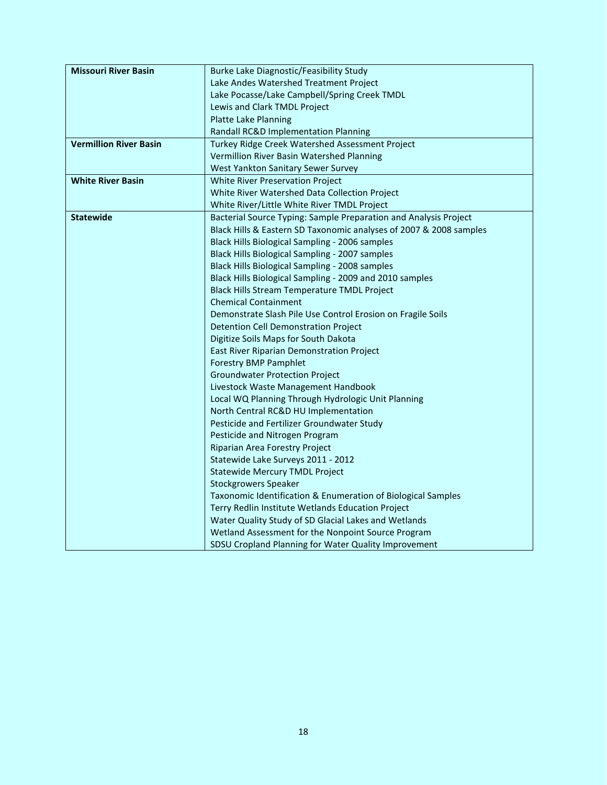| <b>Missouri River Basin</b>   | <b>Burke Lake Diagnostic/Feasibility Study</b>                     |
|-------------------------------|--------------------------------------------------------------------|
|                               | Lake Andes Watershed Treatment Project                             |
|                               | Lake Pocasse/Lake Campbell/Spring Creek TMDL                       |
|                               | Lewis and Clark TMDL Project                                       |
|                               | <b>Platte Lake Planning</b>                                        |
|                               | Randall RC&D Implementation Planning                               |
| <b>Vermillion River Basin</b> | Turkey Ridge Creek Watershed Assessment Project                    |
|                               | Vermillion River Basin Watershed Planning                          |
|                               | West Yankton Sanitary Sewer Survey                                 |
| <b>White River Basin</b>      | White River Preservation Project                                   |
|                               | White River Watershed Data Collection Project                      |
|                               | White River/Little White River TMDL Project                        |
| <b>Statewide</b>              | Bacterial Source Typing: Sample Preparation and Analysis Project   |
|                               | Black Hills & Eastern SD Taxonomic analyses of 2007 & 2008 samples |
|                               | Black Hills Biological Sampling - 2006 samples                     |
|                               | Black Hills Biological Sampling - 2007 samples                     |
|                               | Black Hills Biological Sampling - 2008 samples                     |
|                               | Black Hills Biological Sampling - 2009 and 2010 samples            |
|                               | Black Hills Stream Temperature TMDL Project                        |
|                               | <b>Chemical Containment</b>                                        |
|                               | Demonstrate Slash Pile Use Control Erosion on Fragile Soils        |
|                               | Detention Cell Demonstration Project                               |
|                               | Digitize Soils Maps for South Dakota                               |
|                               | East River Riparian Demonstration Project                          |
|                               | Forestry BMP Pamphlet                                              |
|                               | <b>Groundwater Protection Project</b>                              |
|                               | Livestock Waste Management Handbook                                |
|                               | Local WQ Planning Through Hydrologic Unit Planning                 |
|                               | North Central RC&D HU Implementation                               |
|                               | Pesticide and Fertilizer Groundwater Study                         |
|                               | Pesticide and Nitrogen Program                                     |
|                               | Riparian Area Forestry Project                                     |
|                               | Statewide Lake Surveys 2011 - 2012                                 |
|                               | <b>Statewide Mercury TMDL Project</b>                              |
|                               | <b>Stockgrowers Speaker</b>                                        |
|                               | Taxonomic Identification & Enumeration of Biological Samples       |
|                               | Terry Redlin Institute Wetlands Education Project                  |
|                               | Water Quality Study of SD Glacial Lakes and Wetlands               |
|                               | Wetland Assessment for the Nonpoint Source Program                 |
|                               | SDSU Cropland Planning for Water Quality Improvement               |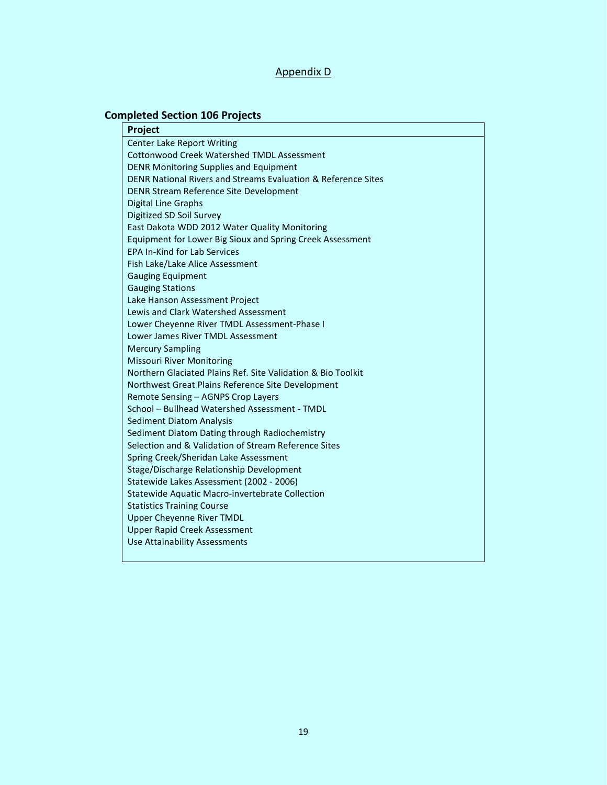## Appendix D

## **Completed Section 106 Projects**

| Project                                                       |
|---------------------------------------------------------------|
| <b>Center Lake Report Writing</b>                             |
| <b>Cottonwood Creek Watershed TMDL Assessment</b>             |
| <b>DENR Monitoring Supplies and Equipment</b>                 |
| DENR National Rivers and Streams Evaluation & Reference Sites |
| DENR Stream Reference Site Development                        |
| Digital Line Graphs                                           |
| Digitized SD Soil Survey                                      |
| East Dakota WDD 2012 Water Quality Monitoring                 |
| Equipment for Lower Big Sioux and Spring Creek Assessment     |
| <b>EPA In-Kind for Lab Services</b>                           |
| Fish Lake/Lake Alice Assessment                               |
| <b>Gauging Equipment</b>                                      |
| <b>Gauging Stations</b>                                       |
| Lake Hanson Assessment Project                                |
| Lewis and Clark Watershed Assessment                          |
| Lower Cheyenne River TMDL Assessment-Phase I                  |
| Lower James River TMDL Assessment                             |
| <b>Mercury Sampling</b>                                       |
| Missouri River Monitoring                                     |
| Northern Glaciated Plains Ref. Site Validation & Bio Toolkit  |
| Northwest Great Plains Reference Site Development             |
| Remote Sensing - AGNPS Crop Layers                            |
| School - Bullhead Watershed Assessment - TMDL                 |
| <b>Sediment Diatom Analysis</b>                               |
| Sediment Diatom Dating through Radiochemistry                 |
| Selection and & Validation of Stream Reference Sites          |
| Spring Creek/Sheridan Lake Assessment                         |
| Stage/Discharge Relationship Development                      |
| Statewide Lakes Assessment (2002 - 2006)                      |
| Statewide Aquatic Macro-invertebrate Collection               |
| <b>Statistics Training Course</b>                             |
| <b>Upper Cheyenne River TMDL</b>                              |
| <b>Upper Rapid Creek Assessment</b>                           |
| Use Attainability Assessments                                 |
|                                                               |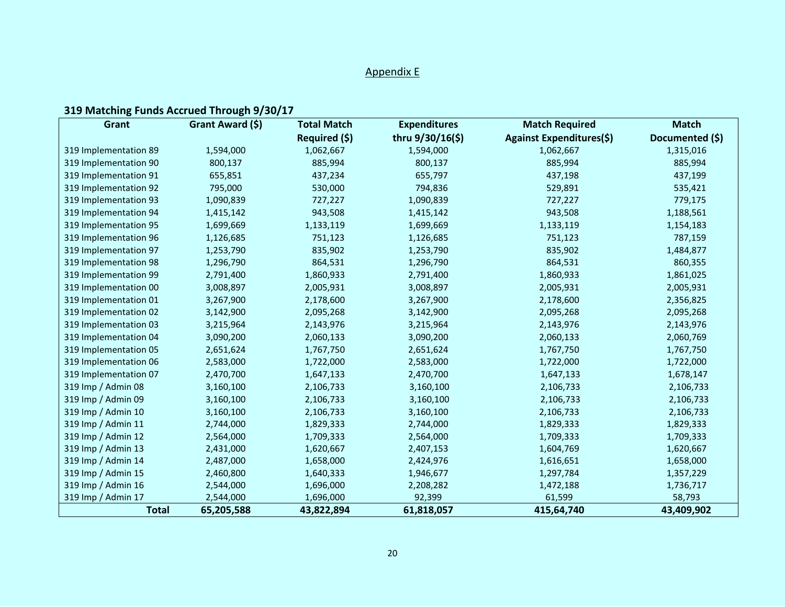## Appendix E

# **319 Matching Funds Accrued Through 9/30/17**

| Grant                 | Grant Award (\$) | <b>Total Match</b> | <b>Expenditures</b> | <b>Match Required</b>           | <b>Match</b>    |
|-----------------------|------------------|--------------------|---------------------|---------------------------------|-----------------|
|                       |                  | Required (\$)      | thru 9/30/16(\$)    | <b>Against Expenditures(\$)</b> | Documented (\$) |
| 319 Implementation 89 | 1,594,000        | 1,062,667          | 1,594,000           | 1,062,667                       | 1,315,016       |
| 319 Implementation 90 | 800,137          | 885,994            | 800,137             | 885,994                         | 885,994         |
| 319 Implementation 91 | 655,851          | 437,234            | 655,797             | 437,198                         | 437,199         |
| 319 Implementation 92 | 795,000          | 530,000            | 794,836             | 529,891                         | 535,421         |
| 319 Implementation 93 | 1,090,839        | 727,227            | 1,090,839           | 727,227                         | 779,175         |
| 319 Implementation 94 | 1,415,142        | 943,508            | 1,415,142           | 943,508                         | 1,188,561       |
| 319 Implementation 95 | 1,699,669        | 1,133,119          | 1,699,669           | 1,133,119                       | 1,154,183       |
| 319 Implementation 96 | 1,126,685        | 751,123            | 1,126,685           | 751,123                         | 787,159         |
| 319 Implementation 97 | 1,253,790        | 835,902            | 1,253,790           | 835,902                         | 1,484,877       |
| 319 Implementation 98 | 1,296,790        | 864,531            | 1,296,790           | 864,531                         | 860,355         |
| 319 Implementation 99 | 2,791,400        | 1,860,933          | 2,791,400           | 1,860,933                       | 1,861,025       |
| 319 Implementation 00 | 3,008,897        | 2,005,931          | 3,008,897           | 2,005,931                       | 2,005,931       |
| 319 Implementation 01 | 3,267,900        | 2,178,600          | 3,267,900           | 2,178,600                       | 2,356,825       |
| 319 Implementation 02 | 3,142,900        | 2,095,268          | 3,142,900           | 2,095,268                       | 2,095,268       |
| 319 Implementation 03 | 3,215,964        | 2,143,976          | 3,215,964           | 2,143,976                       | 2,143,976       |
| 319 Implementation 04 | 3,090,200        | 2,060,133          | 3,090,200           | 2,060,133                       | 2,060,769       |
| 319 Implementation 05 | 2,651,624        | 1,767,750          | 2,651,624           | 1,767,750                       | 1,767,750       |
| 319 Implementation 06 | 2,583,000        | 1,722,000          | 2,583,000           | 1,722,000                       | 1,722,000       |
| 319 Implementation 07 | 2,470,700        | 1,647,133          | 2,470,700           | 1,647,133                       | 1,678,147       |
| 319 Imp / Admin 08    | 3,160,100        | 2,106,733          | 3,160,100           | 2,106,733                       | 2,106,733       |
| 319 Imp / Admin 09    | 3,160,100        | 2,106,733          | 3,160,100           | 2,106,733                       | 2,106,733       |
| 319 Imp / Admin 10    | 3,160,100        | 2,106,733          | 3,160,100           | 2,106,733                       | 2,106,733       |
| 319 Imp / Admin 11    | 2,744,000        | 1,829,333          | 2,744,000           | 1,829,333                       | 1,829,333       |
| 319 Imp / Admin 12    | 2,564,000        | 1,709,333          | 2,564,000           | 1,709,333                       | 1,709,333       |
| 319 Imp / Admin 13    | 2,431,000        | 1,620,667          | 2,407,153           | 1,604,769                       | 1,620,667       |
| 319 Imp / Admin 14    | 2,487,000        | 1,658,000          | 2,424,976           | 1,616,651                       | 1,658,000       |
| 319 Imp / Admin 15    | 2,460,800        | 1,640,333          | 1,946,677           | 1,297,784                       | 1,357,229       |
| 319 Imp / Admin 16    | 2,544,000        | 1,696,000          | 2,208,282           | 1,472,188                       | 1,736,717       |
| 319 Imp / Admin 17    | 2,544,000        | 1,696,000          | 92,399              | 61,599                          | 58,793          |
| <b>Total</b>          | 65,205,588       | 43,822,894         | 61,818,057          | 415,64,740                      | 43,409,902      |